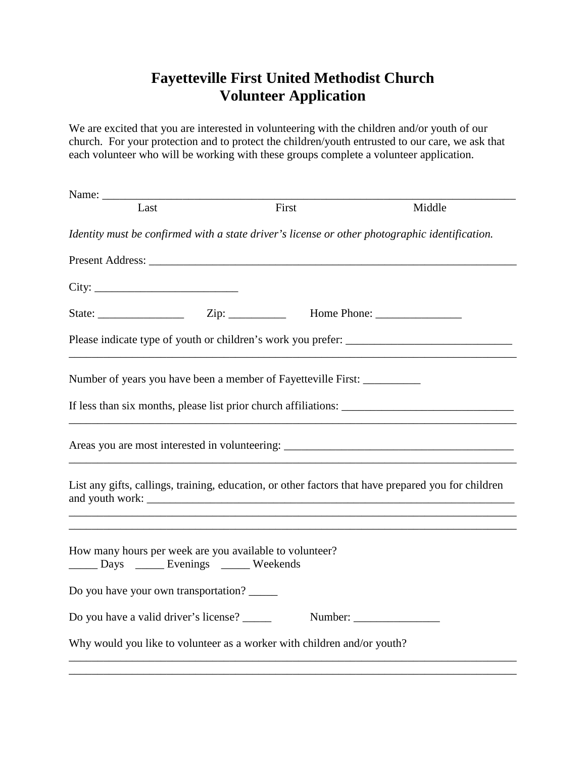## **Fayetteville First United Methodist Church Volunteer Application**

We are excited that you are interested in volunteering with the children and/or youth of our church. For your protection and to protect the children/youth entrusted to our care, we ask that each volunteer who will be working with these groups complete a volunteer application.

| Last                                                                           | First                                                                                               | Middle  |
|--------------------------------------------------------------------------------|-----------------------------------------------------------------------------------------------------|---------|
|                                                                                | Identity must be confirmed with a state driver's license or other photographic identification.      |         |
|                                                                                |                                                                                                     |         |
| City:                                                                          |                                                                                                     |         |
|                                                                                |                                                                                                     |         |
|                                                                                |                                                                                                     |         |
|                                                                                | Number of years you have been a member of Fayetteville First:                                       |         |
|                                                                                |                                                                                                     |         |
|                                                                                |                                                                                                     |         |
|                                                                                | List any gifts, callings, training, education, or other factors that have prepared you for children |         |
| Days _______ Evenings _______ Weekends<br>Do you have your own transportation? | How many hours per week are you available to volunteer?                                             |         |
| Do you have a valid driver's license?                                          |                                                                                                     | Number: |
|                                                                                | Why would you like to volunteer as a worker with children and/or youth?                             |         |
|                                                                                |                                                                                                     |         |